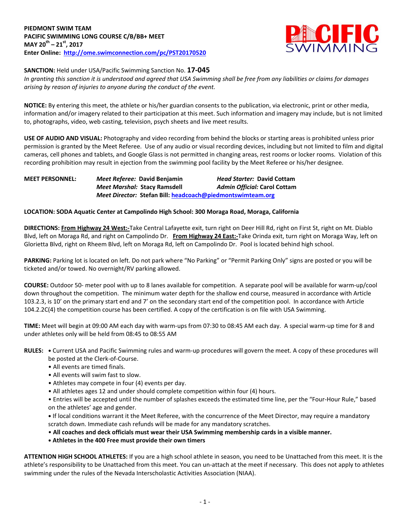

**SANCTION:** Held under USA/Pacific Swimming Sanction No. **17-045**

*In granting this sanction it is understood and agreed that USA Swimming shall be free from any liabilities or claims for damages arising by reason of injuries to anyone during the conduct of the event.*

**NOTICE:** By entering this meet, the athlete or his/her guardian consents to the publication, via electronic, print or other media, information and/or imagery related to their participation at this meet. Such information and imagery may include, but is not limited to, photographs, video, web casting, television, psych sheets and live meet results.

**USE OF AUDIO AND VISUAL:** Photography and video recording from behind the blocks or starting areas is prohibited unless prior permission is granted by the Meet Referee. Use of any audio or visual recording devices, including but not limited to film and digital cameras, cell phones and tablets, and Google Glass is not permitted in changing areas, rest rooms or locker rooms. Violation of this recording prohibition may result in ejection from the swimming pool facility by the Meet Referee or his/her designee.

## **MEET PERSONNEL:** *Meet Referee:* **David Benjamin** *Head Starter:* **David Cottam** *Meet Marshal:* **Stacy Ramsdell** *Admin Official:* **Carol Cottam** *Meet Director:* **Stefan Bill: [headcoach@piedmontswimteam.org](mailto:headcoach@piedmontswimteam.org)**

# **LOCATION: SODA Aquatic Center at Campolindo High School: 300 Moraga Road, Moraga, California**

DIRECTIONS: From Highway 24 West:-Take Central Lafayette exit, turn right on Deer Hill Rd, right on First St, right on Mt. Diablo Blvd, left on Moraga Rd, and right on Campolindo Dr. **From Highway 24 East:-**Take Orinda exit, turn right on Moraga Way, left on Glorietta Blvd, right on Rheem Blvd, left on Moraga Rd, left on Campolindo Dr. Pool is located behind high school.

**PARKING:** Parking lot is located on left. Do not park where "No Parking" or "Permit Parking Only" signs are posted or you will be ticketed and/or towed. No overnight/RV parking allowed.

**COURSE:** Outdoor 50- meter pool with up to 8 lanes available for competition. A separate pool will be available for warm-up/cool down throughout the competition. The minimum water depth for the shallow end course, measured in accordance with Article 103.2.3, is 10' on the primary start end and 7' on the secondary start end of the competition pool. In accordance with Article 104.2.2C(4) the competition course has been certified. A copy of the certification is on file with USA Swimming.

**TIME:** Meet will begin at 09:00 AM each day with warm-ups from 07:30 to 08:45 AM each day. A special warm-up time for 8 and under athletes only will be held from 08:45 to 08:55 AM

- **RULES: •** Current USA and Pacific Swimming rules and warm-up procedures will govern the meet. A copy of these procedures will be posted at the Clerk-of-Course.
	- All events are timed finals.
	- All events will swim fast to slow.
	- Athletes may compete in four (4) events per day.
	- All athletes ages 12 and under should complete competition within four (4) hours.

• Entries will be accepted until the number of splashes exceeds the estimated time line, per the "Four-Hour Rule," based on the athletes' age and gender.

**•** If local conditions warrant it the Meet Referee, with the concurrence of the Meet Director, may require a mandatory scratch down. Immediate cash refunds will be made for any mandatory scratches.

- **All coaches and deck officials must wear their USA Swimming membership cards in a visible manner.**
- **• Athletes in the 400 Free must provide their own timers**

**ATTENTION HIGH SCHOOL ATHLETES:** If you are a high school athlete in season, you need to be Unattached from this meet. It is the athlete's responsibility to be Unattached from this meet. You can un-attach at the meet if necessary. This does not apply to athletes swimming under the rules of the Nevada Interscholastic Activities Association (NIAA).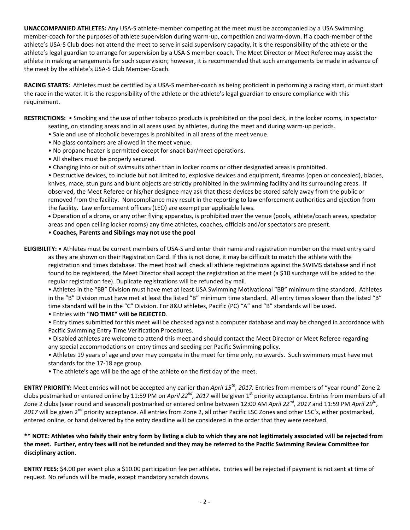**UNACCOMPANIED ATHLETES:** Any USA-S athlete-member competing at the meet must be accompanied by a USA Swimming member-coach for the purposes of athlete supervision during warm-up, competition and warm-down. If a coach-member of the athlete's USA-S Club does not attend the meet to serve in said supervisory capacity, it is the responsibility of the athlete or the athlete's legal guardian to arrange for supervision by a USA-S member-coach. The Meet Director or Meet Referee may assist the athlete in making arrangements for such supervision; however, it is recommended that such arrangements be made in advance of the meet by the athlete's USA-S Club Member-Coach.

**RACING STARTS:** Athletes must be certified by a USA-S member-coach as being proficient in performing a racing start, or must start the race in the water. It is the responsibility of the athlete or the athlete's legal guardian to ensure compliance with this requirement.

**RESTRICTIONS:** • Smoking and the use of other tobacco products is prohibited on the pool deck, in the locker rooms, in spectator seating, on standing areas and in all areas used by athletes, during the meet and during warm-up periods.

- Sale and use of alcoholic beverages is prohibited in all areas of the meet venue.
- No glass containers are allowed in the meet venue.
- No propane heater is permitted except for snack bar/meet operations.
- All shelters must be properly secured.
- Changing into or out of swimsuits other than in locker rooms or other designated areas is prohibited.

• Destructive devices, to include but not limited to, explosive devices and equipment, firearms (open or concealed), blades, knives, mace, stun guns and blunt objects are strictly prohibited in the swimming facility and its surrounding areas. If observed, the Meet Referee or his/her designee may ask that these devices be stored safely away from the public or removed from the facility. Noncompliance may result in the reporting to law enforcement authorities and ejection from the facility. Law enforcement officers (LEO) are exempt per applicable laws.

 Operation of a drone, or any other flying apparatus, is prohibited over the venue (pools, athlete/coach areas, spectator areas and open ceiling locker rooms) any time athletes, coaches, officials and/or spectators are present.

• **Coaches, Parents and Siblings may not use the pool**

**ELIGIBILITY:** • Athletes must be current members of USA-S and enter their name and registration number on the meet entry card as they are shown on their Registration Card. If this is not done, it may be difficult to match the athlete with the registration and times database. The meet host will check all athlete registrations against the SWIMS database and if not found to be registered, the Meet Director shall accept the registration at the meet (a \$10 surcharge will be added to the regular registration fee). Duplicate registrations will be refunded by mail.

• Athletes in the "BB" Division must have met at least USA Swimming Motivational "BB" minimum time standard. Athletes in the "B" Division must have met at least the listed "B" minimum time standard. All entry times slower than the listed "B" time standard will be in the "C" Division. For 8&U athletes, Pacific (PC) "A" and "B" standards will be used.

• Entries with **"NO TIME" will be REJECTED**.

• Entry times submitted for this meet will be checked against a computer database and may be changed in accordance with Pacific Swimming Entry Time Verification Procedures.

- Disabled athletes are welcome to attend this meet and should contact the Meet Director or Meet Referee regarding any special accommodations on entry times and seeding per Pacific Swimming policy.
- Athletes 19 years of age and over may compete in the meet for time only, no awards. Such swimmers must have met standards for the 17-18 age group.
- The athlete's age will be the age of the athlete on the first day of the meet.

**ENTRY PRIORITY:** Meet entries will not be accepted any earlier than *April 15th, 2017.* Entries from members of "year round" Zone 2 clubs postmarked or entered online by 11:59 PM on *April 22nd, 2017* will be given 1st priority acceptance. Entries from members of all Zone 2 clubs (year round and seasonal) postmarked or entered online between 12:00 AM *April 22nd, 2017* and 11:59 PM *April 29th ,*  2017 will be given 2<sup>nd</sup> priority acceptance. All entries from Zone 2, all other Pacific LSC Zones and other LSC's, either postmarked, entered online, or hand delivered by the entry deadline will be considered in the order that they were received.

# **\*\* NOTE: Athletes who falsify their entry form by listing a club to which they are not legitimately associated will be rejected from the meet. Further, entry fees will not be refunded and they may be referred to the Pacific Swimming Review Committee for disciplinary action.**

**ENTRY FEES:** \$4.00 per event plus a \$10.00 participation fee per athlete. Entries will be rejected if payment is not sent at time of request. No refunds will be made, except mandatory scratch downs.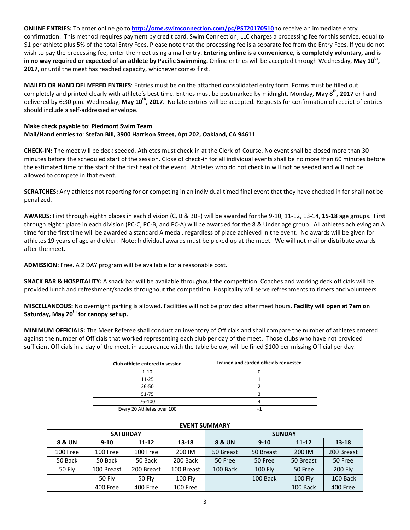**ONLINE ENTRIES:** To enter online go to **<http://ome.swimconnection.com/pc/PST20170510>** to receive an immediate entry confirmation. This method requires payment by credit card. Swim Connection, LLC charges a processing fee for this service, equal to \$1 per athlete plus 5% of the total Entry Fees. Please note that the processing fee is a separate fee from the Entry Fees. If you do not wish to pay the processing fee, enter the meet using a mail entry. **Entering online is a convenience, is completely voluntary, and is in no way required or expected of an athlete by Pacific Swimming.** Online entries will be accepted through Wednesday, **May 10th , 2017**, or until the meet has reached capacity, whichever comes first.

**MAILED OR HAND DELIVERED ENTRIES**: Entries must be on the attached consolidated entry form. Forms must be filled out completely and printed clearly with athlete's best time. Entries must be postmarked by midnight, Monday, **May 8th, 2017** or hand delivered by 6:30 p.m. Wednesday, **May 10th, 2017**. No late entries will be accepted. Requests for confirmation of receipt of entries should include a self-addressed envelope.

### **Make check payable to**: **Piedmont Swim Team Mail/Hand entries to**: **Stefan Bill, 3900 Harrison Street, Apt 202, Oakland, CA 94611**

**CHECK-IN:** The meet will be deck seeded. Athletes must check-in at the Clerk-of-Course. No event shall be closed more than 30 minutes before the scheduled start of the session. Close of check-in for all individual events shall be no more than 60 minutes before the estimated time of the start of the first heat of the event. Athletes who do not check in will not be seeded and will not be allowed to compete in that event.

**SCRATCHES:** Any athletes not reporting for or competing in an individual timed final event that they have checked in for shall not be penalized.

**AWARDS:** First through eighth places in each division (C, B & BB+) will be awarded for the 9-10, 11-12, 13-14, **15-18** age groups. First through eighth place in each division (PC-C, PC-B, and PC-A) will be awarded for the 8 & Under age group. All athletes achieving an A time for the first time will be awarded a standard A medal, regardless of place achieved in the event. No awards will be given for athletes 19 years of age and older. Note: Individual awards must be picked up at the meet. We will not mail or distribute awards after the meet.

**ADMISSION:** Free. A 2 DAY program will be available for a reasonable cost.

**SNACK BAR & HOSPITALITY:** A snack bar will be available throughout the competition. Coaches and working deck officials will be provided lunch and refreshment/snacks throughout the competition. Hospitality will serve refreshments to timers and volunteers.

**MISCELLANEOUS:** No overnight parking is allowed. Facilities will not be provided after meet hours. **Facility will open at 7am on Saturday, May 20th for canopy set up.** 

**MINIMUM OFFICIALS:** The Meet Referee shall conduct an inventory of Officials and shall compare the number of athletes entered against the number of Officials that worked representing each club per day of the meet. Those clubs who have not provided sufficient Officials in a day of the meet, in accordance with the table below, will be fined \$100 per missing Official per day.

| Club athlete entered in session | Trained and carded officials requested |
|---------------------------------|----------------------------------------|
| $1 - 10$                        |                                        |
| $11 - 25$                       |                                        |
| $26 - 50$                       |                                        |
| $51 - 75$                       |                                        |
| 76-100                          |                                        |
| Every 20 Athletes over 100      |                                        |

#### **EVENT SUMMARY**

|          | <b>SATURDAY</b> |            |                | <b>SUNDAY</b> |           |           |                |  |  |
|----------|-----------------|------------|----------------|---------------|-----------|-----------|----------------|--|--|
| 8 & UN   | $9-10$          | $11 - 12$  | 13-18          | 8 & UN        | $9 - 10$  | $11 - 12$ | $13 - 18$      |  |  |
| 100 Free | 100 Free        | 100 Free   | 200 IM         | 50 Breast     | 50 Breast | 200 IM    | 200 Breast     |  |  |
| 50 Back  | 50 Back         | 50 Back    | 200 Back       | 50 Free       | 50 Free   | 50 Breast | 50 Free        |  |  |
| 50 Fly   | 100 Breast      | 200 Breast | 100 Breast     | 100 Back      | $100$ Fly | 50 Free   | <b>200 Fly</b> |  |  |
|          | 50 Flv          | 50 Flv     | <b>100 Flv</b> |               | 100 Back  | $100$ Fly | 100 Back       |  |  |
|          | 400 Free        | 400 Free   | 100 Free       |               |           | 100 Back  | 400 Free       |  |  |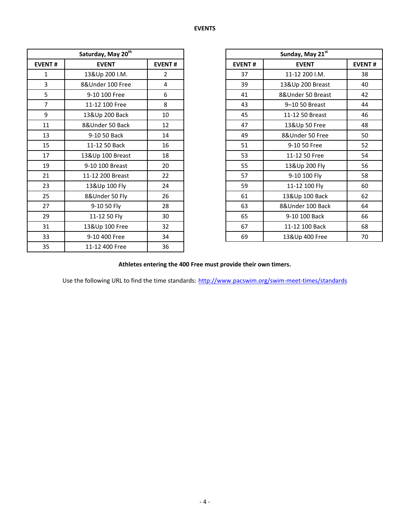|                | Saturday, May 20 <sup>th</sup> |                |               | Sunday, May 21st |
|----------------|--------------------------------|----------------|---------------|------------------|
| <b>EVENT#</b>  | <b>EVENT</b>                   | <b>EVENT#</b>  | <b>EVENT#</b> | <b>EVENT</b>     |
| $\mathbf{1}$   | 13&Up 200 I.M.                 | $\overline{2}$ | 37            | 11-12 200 I.M.   |
| 3              | 8&Under 100 Free               | 4              | 39            | 13&Up 200 Breas  |
| 5              | 9-10 100 Free                  | 6              | 41            | 8&Under 50 Breas |
| $\overline{7}$ | 11-12 100 Free                 | 8              | 43            | 9-10 50 Breast   |
| 9              | 13&Up 200 Back                 | 10             | 45            | 11-12 50 Breast  |
| 11             | 8&Under 50 Back                | 12             | 47            | 13&Up 50 Free    |
| 13             | 9-10 50 Back                   | 14             | 49            | 8&Under 50 Free  |
| 15             | 11-12 50 Back                  | 16             | 51            | 9-10 50 Free     |
| 17             | 13&Up 100 Breast               | 18             | 53            | 11-12 50 Free    |
| 19             | 9-10 100 Breast                | 20             | 55            | 13&Up 200 Fly    |
| 21             | 11-12 200 Breast               | 22             | 57            | 9-10 100 Fly     |
| 23             | 13&Up 100 Fly                  | 24             | 59            | 11-12 100 Fly    |
| 25             | 8&Under 50 Fly                 | 26             | 61            | 13&Up 100 Back   |
| 27             | 9-10 50 Fly                    | 28             | 63            | 8&Under 100 Bac  |
| 29             | 11-12 50 Fly                   | 30             | 65            | 9-10 100 Back    |
| 31             | 13&Up 100 Free                 | 32             | 67            | 11-12 100 Back   |
| 33             | 9-10 400 Free                  | 34             | 69            | 13&Up 400 Free   |
| 35             | 11-12 400 Free                 | 36             |               |                  |
|                |                                |                |               |                  |

|                | Saturday, May 20 <sup>th</sup> |                |               | Sunday, May 21st  |               |
|----------------|--------------------------------|----------------|---------------|-------------------|---------------|
| <b>EVENT#</b>  | <b>EVENT</b>                   | <b>EVENT#</b>  | <b>EVENT#</b> | <b>EVENT</b>      | <b>EVENT#</b> |
| 1              | 13&Up 200 I.M.                 | $\overline{2}$ | 37            | 11-12 200 I.M.    | 38            |
| $\overline{3}$ | 8&Under 100 Free               | 4              | 39            | 13&Up 200 Breast  | 40            |
| 5              | 9-10 100 Free                  | 6              | 41            | 8&Under 50 Breast | 42            |
| $\overline{7}$ | 11-12 100 Free                 | 8              | 43            | 9-10 50 Breast    | 44            |
| 9              | 13&Up 200 Back                 | 10             | 45            | 11-12 50 Breast   | 46            |
| 11             | 8&Under 50 Back                | 12             | 47            | 13&Up 50 Free     | 48            |
| 13             | 9-10 50 Back                   | 14             | 49            | 8&Under 50 Free   | 50            |
| 15             | 11-12 50 Back                  | 16             | 51            | 9-10 50 Free      | 52            |
| 17             | 13&Up 100 Breast               | 18             | 53            | 11-12 50 Free     | 54            |
| 19             | 9-10 100 Breast                | 20             | 55            | 13&Up 200 Fly     | 56            |
| 21             | 11-12 200 Breast               | 22             | 57            | 9-10 100 Fly      | 58            |
| 23             | 13&Up 100 Fly                  | 24             | 59            | 11-12 100 Fly     | 60            |
| 25             | 8&Under 50 Fly                 | 26             | 61            | 13&Up 100 Back    | 62            |
| 27             | 9-10 50 Fly                    | 28             | 63            | 8&Under 100 Back  | 64            |
| 29             | 11-12 50 Fly                   | 30             | 65            | 9-10 100 Back     | 66            |
| 31             | 13&Up 100 Free                 | 32             | 67            | 11-12 100 Back    | 68            |
| 33             | 9-10 400 Free                  | 34             | 69            | 13&Up 400 Free    | 70            |

# **Athletes entering the 400 Free must provide their own timers.**

Use the following URL to find the time standards: <http://www.pacswim.org/swim-meet-times/standards>